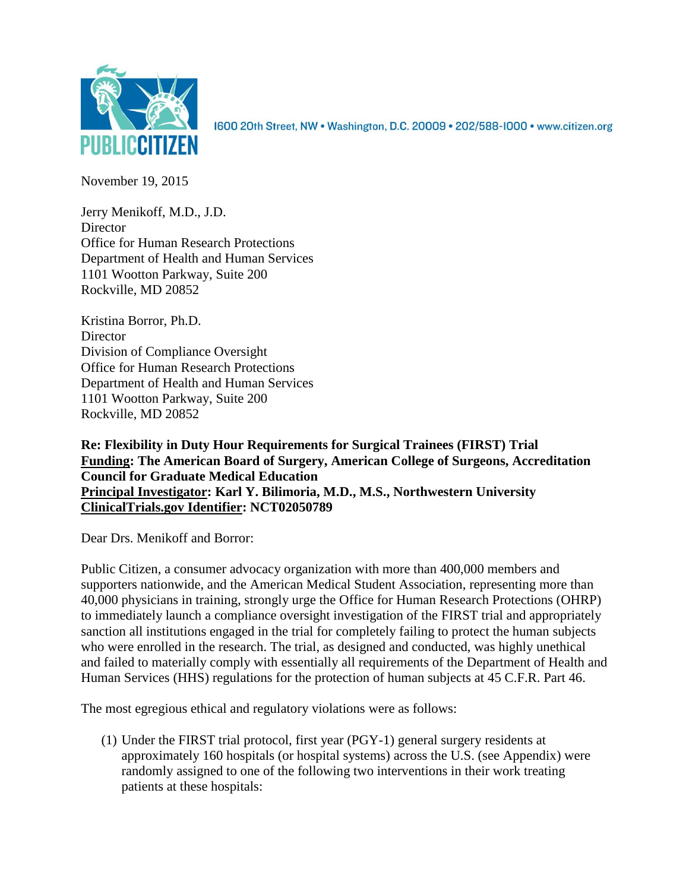

1600 20th Street, NW . Washington, D.C. 20009 . 202/588-1000 . www.citizen.org

November 19, 2015

Jerry Menikoff, M.D., J.D. **Director** Office for Human Research Protections Department of Health and Human Services 1101 Wootton Parkway, Suite 200 Rockville, MD 20852

Kristina Borror, Ph.D. **Director** Division of Compliance Oversight Office for Human Research Protections Department of Health and Human Services 1101 Wootton Parkway, Suite 200 Rockville, MD 20852

**Re: Flexibility in Duty Hour Requirements for Surgical Trainees (FIRST) Trial Funding: The American Board of Surgery, American College of Surgeons, Accreditation Council for Graduate Medical Education Principal Investigator: Karl Y. Bilimoria, M.D., M.S., Northwestern University ClinicalTrials.gov Identifier: NCT02050789**

Dear Drs. Menikoff and Borror:

Public Citizen, a consumer advocacy organization with more than 400,000 members and supporters nationwide, and the American Medical Student Association, representing more than 40,000 physicians in training, strongly urge the Office for Human Research Protections (OHRP) to immediately launch a compliance oversight investigation of the FIRST trial and appropriately sanction all institutions engaged in the trial for completely failing to protect the human subjects who were enrolled in the research. The trial, as designed and conducted, was highly unethical and failed to materially comply with essentially all requirements of the Department of Health and Human Services (HHS) regulations for the protection of human subjects at 45 C.F.R. Part 46.

The most egregious ethical and regulatory violations were as follows:

(1) Under the FIRST trial protocol, first year (PGY-1) general surgery residents at approximately 160 hospitals (or hospital systems) across the U.S. (see Appendix) were randomly assigned to one of the following two interventions in their work treating patients at these hospitals: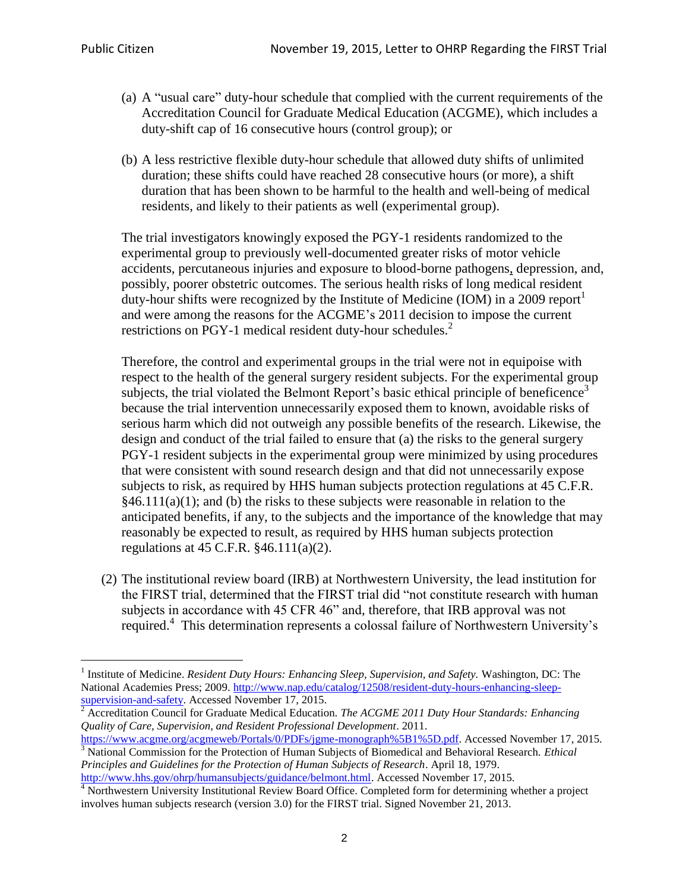$\ddot{\phantom{a}}$ 

- (a) A "usual care" duty-hour schedule that complied with the current requirements of the Accreditation Council for Graduate Medical Education (ACGME), which includes a duty-shift cap of 16 consecutive hours (control group); or
- (b) A less restrictive flexible duty-hour schedule that allowed duty shifts of unlimited duration; these shifts could have reached 28 consecutive hours (or more), a shift duration that has been shown to be harmful to the health and well-being of medical residents, and likely to their patients as well (experimental group).

The trial investigators knowingly exposed the PGY-1 residents randomized to the experimental group to previously well-documented greater risks of motor vehicle accidents, percutaneous injuries and exposure to blood-borne pathogens, depression, and, possibly, poorer obstetric outcomes. The serious health risks of long medical resident duty-hour shifts were recognized by the Institute of Medicine (IOM) in a 2009 report<sup>1</sup> and were among the reasons for the ACGME's 2011 decision to impose the current restrictions on PGY-1 medical resident duty-hour schedules.<sup>2</sup>

Therefore, the control and experimental groups in the trial were not in equipoise with respect to the health of the general surgery resident subjects. For the experimental group subjects, the trial violated the Belmont Report's basic ethical principle of beneficence<sup>3</sup> because the trial intervention unnecessarily exposed them to known, avoidable risks of serious harm which did not outweigh any possible benefits of the research. Likewise, the design and conduct of the trial failed to ensure that (a) the risks to the general surgery PGY-1 resident subjects in the experimental group were minimized by using procedures that were consistent with sound research design and that did not unnecessarily expose subjects to risk, as required by HHS human subjects protection regulations at 45 C.F.R.  $§46.111(a)(1);$  and (b) the risks to these subjects were reasonable in relation to the anticipated benefits, if any, to the subjects and the importance of the knowledge that may reasonably be expected to result, as required by HHS human subjects protection regulations at 45 C.F.R. §46.111(a)(2).

(2) The institutional review board (IRB) at Northwestern University, the lead institution for the FIRST trial, determined that the FIRST trial did "not constitute research with human subjects in accordance with 45 CFR 46" and, therefore, that IRB approval was not required.<sup>4</sup> This determination represents a colossal failure of Northwestern University's

<sup>2</sup> Accreditation Council for Graduate Medical Education. *The ACGME 2011 Duty Hour Standards: Enhancing Quality of Care, Supervision, and Resident Professional Development*. 2011.

[http://www.hhs.gov/ohrp/humansubjects/guidance/belmont.html.](http://www.hhs.gov/ohrp/humansubjects/guidance/belmont.html) Accessed November 17, 2015.

<sup>&</sup>lt;sup>1</sup> Institute of Medicine. *Resident Duty Hours: Enhancing Sleep, Supervision, and Safety.* Washington, DC: The National Academies Press; 2009. [http://www.nap.edu/catalog/12508/resident-duty-hours-enhancing-sleep](http://www.nap.edu/catalog/12508/resident-duty-hours-enhancing-sleep-supervision-and-safety)[supervision-and-safety.](http://www.nap.edu/catalog/12508/resident-duty-hours-enhancing-sleep-supervision-and-safety) Accessed November 17, 2015.

[https://www.acgme.org/acgmeweb/Portals/0/PDFs/jgme-monograph%5B1%5D.pdf.](https://www.acgme.org/acgmeweb/Portals/0/PDFs/jgme-monograph%5B1%5D.pdf) Accessed November 17, 2015. <sup>3</sup> National Commission for the Protection of Human Subjects of Biomedical and Behavioral Research. *Ethical Principles and Guidelines for the Protection of Human Subjects of Research*. April 18, 1979.

<sup>&</sup>lt;sup>4</sup> Northwestern University Institutional Review Board Office. Completed form for determining whether a project involves human subjects research (version 3.0) for the FIRST trial. Signed November 21, 2013.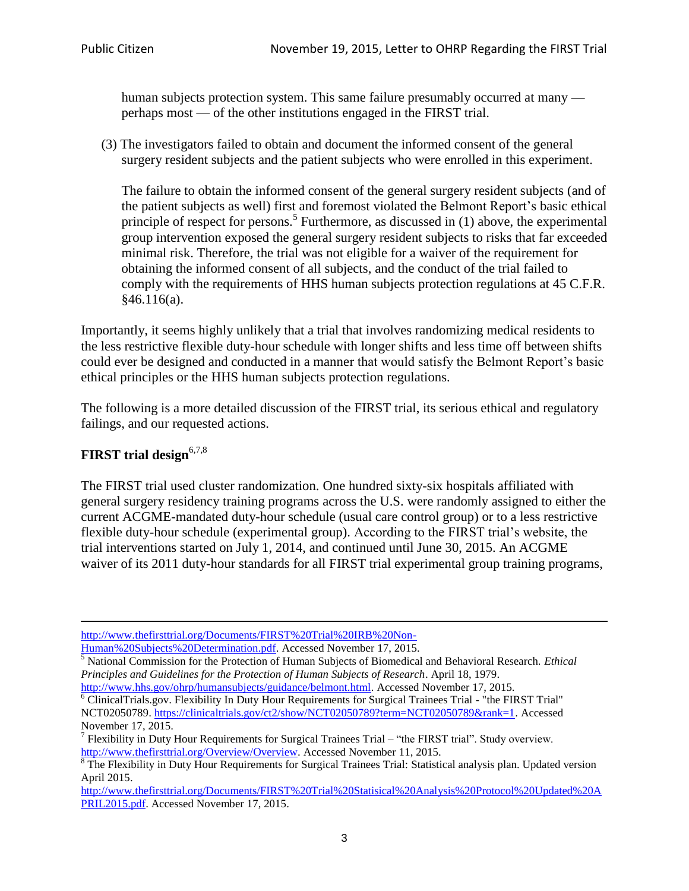human subjects protection system. This same failure presumably occurred at many perhaps most — of the other institutions engaged in the FIRST trial.

(3) The investigators failed to obtain and document the informed consent of the general surgery resident subjects and the patient subjects who were enrolled in this experiment.

The failure to obtain the informed consent of the general surgery resident subjects (and of the patient subjects as well) first and foremost violated the Belmont Report's basic ethical principle of respect for persons.<sup>5</sup> Furthermore, as discussed in (1) above, the experimental group intervention exposed the general surgery resident subjects to risks that far exceeded minimal risk. Therefore, the trial was not eligible for a waiver of the requirement for obtaining the informed consent of all subjects, and the conduct of the trial failed to comply with the requirements of HHS human subjects protection regulations at 45 C.F.R.  $§46.116(a).$ 

Importantly, it seems highly unlikely that a trial that involves randomizing medical residents to the less restrictive flexible duty-hour schedule with longer shifts and less time off between shifts could ever be designed and conducted in a manner that would satisfy the Belmont Report's basic ethical principles or the HHS human subjects protection regulations.

The following is a more detailed discussion of the FIRST trial, its serious ethical and regulatory failings, and our requested actions.

# **FIRST trial design**6,7,8

The FIRST trial used cluster randomization. One hundred sixty-six hospitals affiliated with general surgery residency training programs across the U.S. were randomly assigned to either the current ACGME-mandated duty-hour schedule (usual care control group) or to a less restrictive flexible duty-hour schedule (experimental group). According to the FIRST trial's website, the trial interventions started on July 1, 2014, and continued until June 30, 2015. An ACGME waiver of its 2011 duty-hour standards for all FIRST trial experimental group training programs,

 $\ddot{\phantom{a}}$ [http://www.thefirsttrial.org/Documents/FIRST%20Trial%20IRB%20Non-](http://www.thefirsttrial.org/Documents/FIRST%20Trial%20IRB%20Non-Human%20Subjects%20Determination.pdf)

[Human%20Subjects%20Determination.pdf.](http://www.thefirsttrial.org/Documents/FIRST%20Trial%20IRB%20Non-Human%20Subjects%20Determination.pdf) Accessed November 17, 2015.

<sup>5</sup> National Commission for the Protection of Human Subjects of Biomedical and Behavioral Research. *Ethical Principles and Guidelines for the Protection of Human Subjects of Research*. April 18, 1979.

[http://www.hhs.gov/ohrp/humansubjects/guidance/belmont.html.](http://www.hhs.gov/ohrp/humansubjects/guidance/belmont.html) Accessed November 17, 2015. <sup>6</sup> ClinicalTrials.gov. Flexibility In Duty Hour Requirements for Surgical Trainees Trial - "the FIRST Trial" NCT02050789. [https://clinicaltrials.gov/ct2/show/NCT02050789?term=NCT02050789&rank=1.](https://clinicaltrials.gov/ct2/show/NCT02050789?term=NCT02050789&rank=1) Accessed November 17, 2015.

<sup>&</sup>lt;sup>7</sup> Flexibility in Duty Hour Requirements for Surgical Trainees Trial – "the FIRST trial". Study overview. [http://www.thefirsttrial.org/Overview/Overview.](http://www.thefirsttrial.org/Overview/Overview) Accessed November 11, 2015.

<sup>&</sup>lt;sup>8</sup> The Flexibility in Duty Hour Requirements for Surgical Trainees Trial: Statistical analysis plan. Updated version April 2015.

[http://www.thefirsttrial.org/Documents/FIRST%20Trial%20Statisical%20Analysis%20Protocol%20Updated%20A](http://www.thefirsttrial.org/Documents/FIRST%20Trial%20Statisical%20Analysis%20Protocol%20Updated%20APRIL2015.pdf) [PRIL2015.pdf.](http://www.thefirsttrial.org/Documents/FIRST%20Trial%20Statisical%20Analysis%20Protocol%20Updated%20APRIL2015.pdf) Accessed November 17, 2015.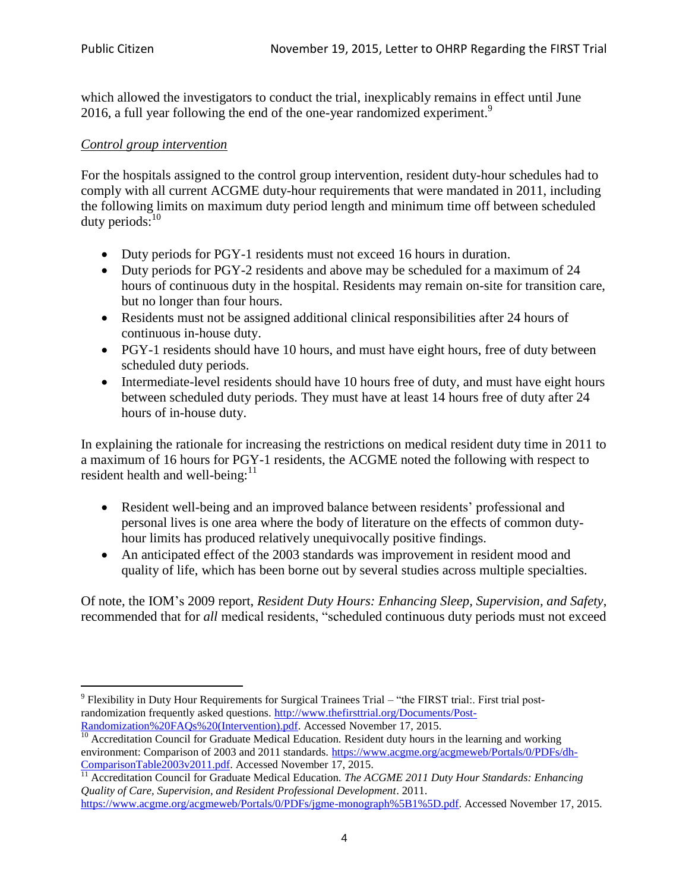which allowed the investigators to conduct the trial, inexplicably remains in effect until June 2016, a full year following the end of the one-year randomized experiment.<sup>9</sup>

## *Control group intervention*

For the hospitals assigned to the control group intervention, resident duty-hour schedules had to comply with all current ACGME duty-hour requirements that were mandated in 2011, including the following limits on maximum duty period length and minimum time off between scheduled duty periods: 10

- Duty periods for PGY-1 residents must not exceed 16 hours in duration.
- Duty periods for PGY-2 residents and above may be scheduled for a maximum of 24 hours of continuous duty in the hospital. Residents may remain on-site for transition care, but no longer than four hours.
- Residents must not be assigned additional clinical responsibilities after 24 hours of continuous in-house duty.
- PGY-1 residents should have 10 hours, and must have eight hours, free of duty between scheduled duty periods.
- Intermediate-level residents should have 10 hours free of duty, and must have eight hours between scheduled duty periods. They must have at least 14 hours free of duty after 24 hours of in-house duty.

In explaining the rationale for increasing the restrictions on medical resident duty time in 2011 to a maximum of 16 hours for PGY-1 residents, the ACGME noted the following with respect to resident health and well-being: $11$ 

- Resident well-being and an improved balance between residents' professional and personal lives is one area where the body of literature on the effects of common dutyhour limits has produced relatively unequivocally positive findings.
- An anticipated effect of the 2003 standards was improvement in resident mood and quality of life, which has been borne out by several studies across multiple specialties.

Of note, the IOM's 2009 report, *Resident Duty Hours: Enhancing Sleep, Supervision, and Safety*, recommended that for *all* medical residents, "scheduled continuous duty periods must not exceed

 $\overline{a}$ <sup>9</sup> Flexibility in Duty Hour Requirements for Surgical Trainees Trial – "the FIRST trial:. First trial postrandomization frequently asked questions. [http://www.thefirsttrial.org/Documents/Post-](http://www.thefirsttrial.org/Documents/Post-Randomization%20FAQs%20(Intervention).pdf)[Randomization%20FAQs%20\(Intervention\).pdf.](http://www.thefirsttrial.org/Documents/Post-Randomization%20FAQs%20(Intervention).pdf) Accessed November 17, 2015.

 $\frac{10}{10}$  Accreditation Council for Graduate Medical Education. Resident duty hours in the learning and working environment: Comparison of 2003 and 2011 standards[. https://www.acgme.org/acgmeweb/Portals/0/PDFs/dh-](https://www.acgme.org/acgmeweb/Portals/0/PDFs/dh-ComparisonTable2003v2011.pdf)[ComparisonTable2003v2011.pdf.](https://www.acgme.org/acgmeweb/Portals/0/PDFs/dh-ComparisonTable2003v2011.pdf) Accessed November 17, 2015.

<sup>&</sup>lt;sup>11</sup> Accreditation Council for Graduate Medical Education. *The ACGME 2011 Duty Hour Standards: Enhancing Quality of Care, Supervision, and Resident Professional Development*. 2011.

[https://www.acgme.org/acgmeweb/Portals/0/PDFs/jgme-monograph%5B1%5D.pdf.](https://www.acgme.org/acgmeweb/Portals/0/PDFs/jgme-monograph%5B1%5D.pdf) Accessed November 17, 2015.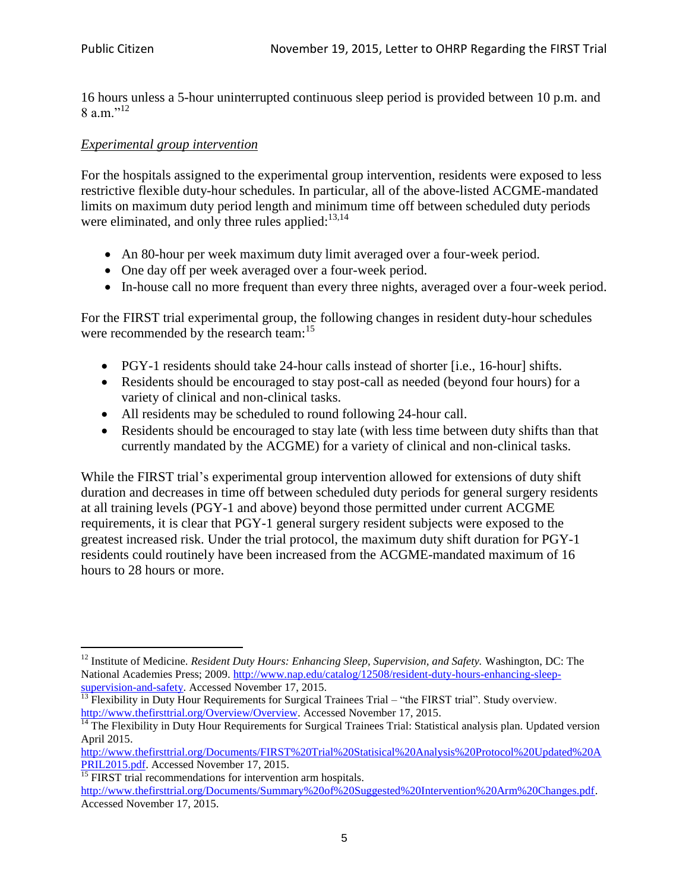16 hours unless a 5-hour uninterrupted continuous sleep period is provided between 10 p.m. and 8 a.m." $^{12}$ 

### *Experimental group intervention*

For the hospitals assigned to the experimental group intervention, residents were exposed to less restrictive flexible duty-hour schedules. In particular, all of the above-listed ACGME-mandated limits on maximum duty period length and minimum time off between scheduled duty periods were eliminated, and only three rules applied:<sup>13,14</sup>

- An 80-hour per week maximum duty limit averaged over a four-week period.
- One day off per week averaged over a four-week period.
- In-house call no more frequent than every three nights, averaged over a four-week period.

For the FIRST trial experimental group, the following changes in resident duty-hour schedules were recommended by the research team:<sup>15</sup>

- PGY-1 residents should take 24-hour calls instead of shorter [i.e., 16-hour] shifts.
- Residents should be encouraged to stay post-call as needed (beyond four hours) for a variety of clinical and non-clinical tasks.
- All residents may be scheduled to round following 24-hour call.
- Residents should be encouraged to stay late (with less time between duty shifts than that currently mandated by the ACGME) for a variety of clinical and non-clinical tasks.

While the FIRST trial's experimental group intervention allowed for extensions of duty shift duration and decreases in time off between scheduled duty periods for general surgery residents at all training levels (PGY-1 and above) beyond those permitted under current ACGME requirements, it is clear that PGY-1 general surgery resident subjects were exposed to the greatest increased risk. Under the trial protocol, the maximum duty shift duration for PGY-1 residents could routinely have been increased from the ACGME-mandated maximum of 16 hours to 28 hours or more.

 $\overline{a}$ <sup>12</sup> Institute of Medicine. *Resident Duty Hours: Enhancing Sleep, Supervision, and Safety.* Washington, DC: The National Academies Press; 2009. [http://www.nap.edu/catalog/12508/resident-duty-hours-enhancing-sleep](http://www.nap.edu/catalog/12508/resident-duty-hours-enhancing-sleep-supervision-and-safety)[supervision-and-safety.](http://www.nap.edu/catalog/12508/resident-duty-hours-enhancing-sleep-supervision-and-safety) Accessed November 17, 2015.

 $<sup>13</sup>$  Flexibility in Duty Hour Requirements for Surgical Trainees Trial – "the FIRST trial". Study overview.</sup> [http://www.thefirsttrial.org/Overview/Overview.](http://www.thefirsttrial.org/Overview/Overview) Accessed November 17, 2015.

<sup>&</sup>lt;sup>14</sup> The Flexibility in Duty Hour Requirements for Surgical Trainees Trial: Statistical analysis plan. Updated version April 2015.

[http://www.thefirsttrial.org/Documents/FIRST%20Trial%20Statisical%20Analysis%20Protocol%20Updated%20A](http://www.thefirsttrial.org/Documents/FIRST%20Trial%20Statisical%20Analysis%20Protocol%20Updated%20APRIL2015.pdf) [PRIL2015.pdf.](http://www.thefirsttrial.org/Documents/FIRST%20Trial%20Statisical%20Analysis%20Protocol%20Updated%20APRIL2015.pdf) Accessed November 17, 2015.

<sup>&</sup>lt;sup>15</sup> FIRST trial recommendations for intervention arm hospitals.

[http://www.thefirsttrial.org/Documents/Summary%20of%20Suggested%20Intervention%20Arm%20Changes.pdf.](http://www.thefirsttrial.org/Documents/Summary%20of%20Suggested%20Intervention%20Arm%20Changes.pdf) Accessed November 17, 2015.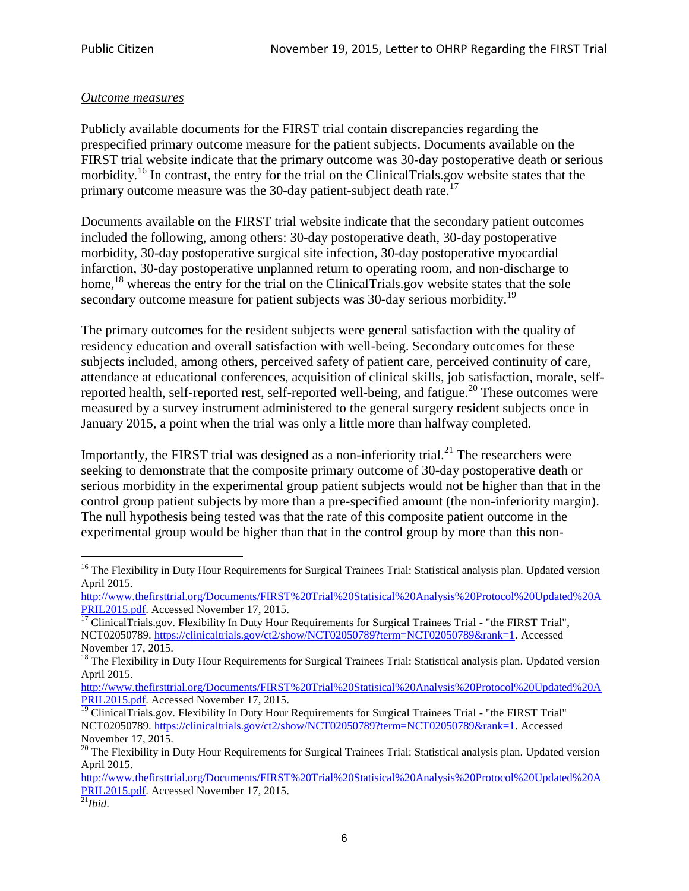#### *Outcome measures*

Publicly available documents for the FIRST trial contain discrepancies regarding the prespecified primary outcome measure for the patient subjects. Documents available on the FIRST trial website indicate that the primary outcome was 30-day postoperative death or serious morbidity.<sup>16</sup> In contrast, the entry for the trial on the ClinicalTrials, gov website states that the primary outcome measure was the 30-day patient-subject death rate.<sup>17</sup>

Documents available on the FIRST trial website indicate that the secondary patient outcomes included the following, among others: 30-day postoperative death, 30-day postoperative morbidity, 30-day postoperative surgical site infection, 30-day postoperative myocardial infarction, 30-day postoperative unplanned return to operating room, and non-discharge to home,<sup>18</sup> whereas the entry for the trial on the ClinicalTrials.gov website states that the sole secondary outcome measure for patient subjects was 30-day serious morbidity.<sup>19</sup>

The primary outcomes for the resident subjects were general satisfaction with the quality of residency education and overall satisfaction with well-being. Secondary outcomes for these subjects included, among others, perceived safety of patient care, perceived continuity of care, attendance at educational conferences, acquisition of clinical skills, job satisfaction, morale, selfreported health, self-reported rest, self-reported well-being, and fatigue.<sup>20</sup> These outcomes were measured by a survey instrument administered to the general surgery resident subjects once in January 2015, a point when the trial was only a little more than halfway completed.

Importantly, the FIRST trial was designed as a non-inferiority trial.<sup>21</sup> The researchers were seeking to demonstrate that the composite primary outcome of 30-day postoperative death or serious morbidity in the experimental group patient subjects would not be higher than that in the control group patient subjects by more than a pre-specified amount (the non-inferiority margin). The null hypothesis being tested was that the rate of this composite patient outcome in the experimental group would be higher than that in the control group by more than this non-

 $\overline{a}$ 

<sup>&</sup>lt;sup>16</sup> The Flexibility in Duty Hour Requirements for Surgical Trainees Trial: Statistical analysis plan. Updated version April 2015.

[http://www.thefirsttrial.org/Documents/FIRST%20Trial%20Statisical%20Analysis%20Protocol%20Updated%20A](http://www.thefirsttrial.org/Documents/FIRST%20Trial%20Statisical%20Analysis%20Protocol%20Updated%20APRIL2015.pdf) [PRIL2015.pdf.](http://www.thefirsttrial.org/Documents/FIRST%20Trial%20Statisical%20Analysis%20Protocol%20Updated%20APRIL2015.pdf) Accessed November 17, 2015.

<sup>&</sup>lt;sup>17</sup> ClinicalTrials.gov. Flexibility In Duty Hour Requirements for Surgical Trainees Trial - "the FIRST Trial", NCT02050789. [https://clinicaltrials.gov/ct2/show/NCT02050789?term=NCT02050789&rank=1.](https://clinicaltrials.gov/ct2/show/NCT02050789?term=NCT02050789&rank=1) Accessed November 17, 2015.

<sup>&</sup>lt;sup>18</sup> The Flexibility in Duty Hour Requirements for Surgical Trainees Trial: Statistical analysis plan. Updated version April 2015.

[http://www.thefirsttrial.org/Documents/FIRST%20Trial%20Statisical%20Analysis%20Protocol%20Updated%20A](http://www.thefirsttrial.org/Documents/FIRST%20Trial%20Statisical%20Analysis%20Protocol%20Updated%20APRIL2015.pdf) [PRIL2015.pdf.](http://www.thefirsttrial.org/Documents/FIRST%20Trial%20Statisical%20Analysis%20Protocol%20Updated%20APRIL2015.pdf) Accessed November 17, 2015.

<sup>&</sup>lt;sup>19</sup> ClinicalTrials.gov. Flexibility In Duty Hour Requirements for Surgical Trainees Trial - "the FIRST Trial" NCT02050789. [https://clinicaltrials.gov/ct2/show/NCT02050789?term=NCT02050789&rank=1.](https://clinicaltrials.gov/ct2/show/NCT02050789?term=NCT02050789&rank=1) Accessed November 17, 2015.

 $20$  The Flexibility in Duty Hour Requirements for Surgical Trainees Trial: Statistical analysis plan. Updated version April 2015.

[http://www.thefirsttrial.org/Documents/FIRST%20Trial%20Statisical%20Analysis%20Protocol%20Updated%20A](http://www.thefirsttrial.org/Documents/FIRST%20Trial%20Statisical%20Analysis%20Protocol%20Updated%20APRIL2015.pdf) [PRIL2015.pdf.](http://www.thefirsttrial.org/Documents/FIRST%20Trial%20Statisical%20Analysis%20Protocol%20Updated%20APRIL2015.pdf) Accessed November 17, 2015.

 $\overline{^{21}}$ *Ibid.*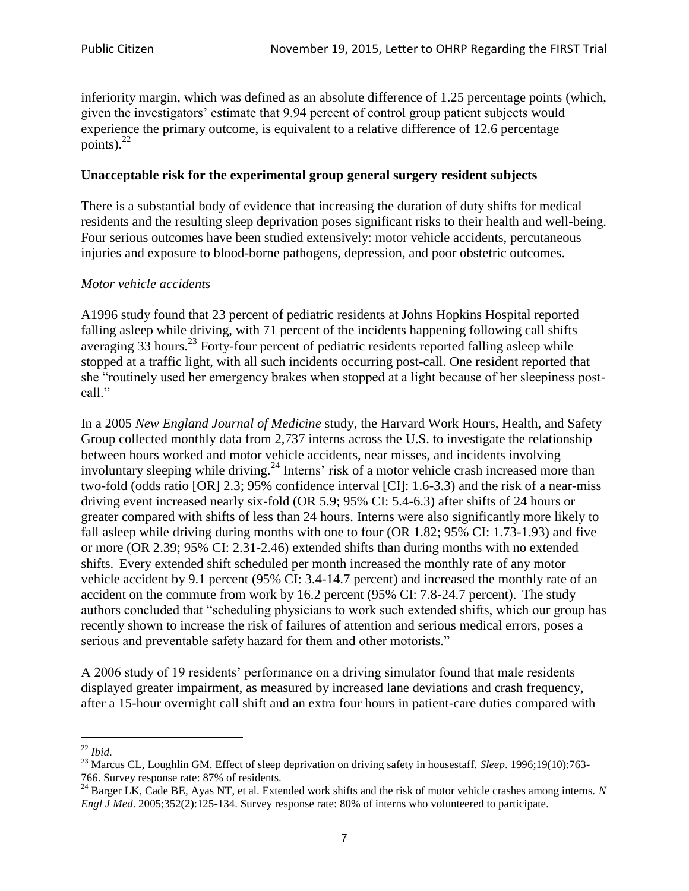inferiority margin, which was defined as an absolute difference of 1.25 percentage points (which, given the investigators' estimate that 9.94 percent of control group patient subjects would experience the primary outcome, is equivalent to a relative difference of 12.6 percentage points). 22

#### **Unacceptable risk for the experimental group general surgery resident subjects**

There is a substantial body of evidence that increasing the duration of duty shifts for medical residents and the resulting sleep deprivation poses significant risks to their health and well-being. Four serious outcomes have been studied extensively: motor vehicle accidents, percutaneous injuries and exposure to blood-borne pathogens, depression, and poor obstetric outcomes.

#### *Motor vehicle accidents*

A1996 study found that 23 percent of pediatric residents at Johns Hopkins Hospital reported falling asleep while driving, with 71 percent of the incidents happening following call shifts averaging  $33$  hours.<sup>23</sup> Forty-four percent of pediatric residents reported falling asleep while stopped at a traffic light, with all such incidents occurring post-call. One resident reported that she "routinely used her emergency brakes when stopped at a light because of her sleepiness postcall."

In a 2005 *New England Journal of Medicine* study, the Harvard Work Hours, Health, and Safety Group collected monthly data from 2,737 interns across the U.S. to investigate the relationship between hours worked and motor vehicle accidents, near misses, and incidents involving involuntary sleeping while driving.<sup>24</sup> Interns' risk of a motor vehicle crash increased more than two-fold (odds ratio [OR] 2.3; 95% confidence interval [CI]: 1.6-3.3) and the risk of a near-miss driving event increased nearly six-fold (OR 5.9; 95% CI: 5.4-6.3) after shifts of 24 hours or greater compared with shifts of less than 24 hours. Interns were also significantly more likely to fall asleep while driving during months with one to four (OR 1.82; 95% CI: 1.73-1.93) and five or more (OR 2.39; 95% CI: 2.31-2.46) extended shifts than during months with no extended shifts. Every extended shift scheduled per month increased the monthly rate of any motor vehicle accident by 9.1 percent (95% CI: 3.4-14.7 percent) and increased the monthly rate of an accident on the commute from work by 16.2 percent (95% CI: 7.8-24.7 percent). The study authors concluded that "scheduling physicians to work such extended shifts, which our group has recently shown to increase the risk of failures of attention and serious medical errors, poses a serious and preventable safety hazard for them and other motorists."

A 2006 study of 19 residents' performance on a driving simulator found that male residents displayed greater impairment, as measured by increased lane deviations and crash frequency, after a 15-hour overnight call shift and an extra four hours in patient-care duties compared with

 $\ddot{\phantom{a}}$ <sup>22</sup> *Ibid*.

<sup>&</sup>lt;sup>23</sup> Marcus CL, Loughlin GM. Effect of sleep deprivation on driving safety in housestaff. *Sleep*. 1996;19(10):763-766. Survey response rate: 87% of residents.

 $^{24}$  Barger LK, Cade BE, Ayas NT, et al. Extended work shifts and the risk of motor vehicle crashes among interns. *N Engl J Med*. 2005;352(2):125-134. Survey response rate: 80% of interns who volunteered to participate.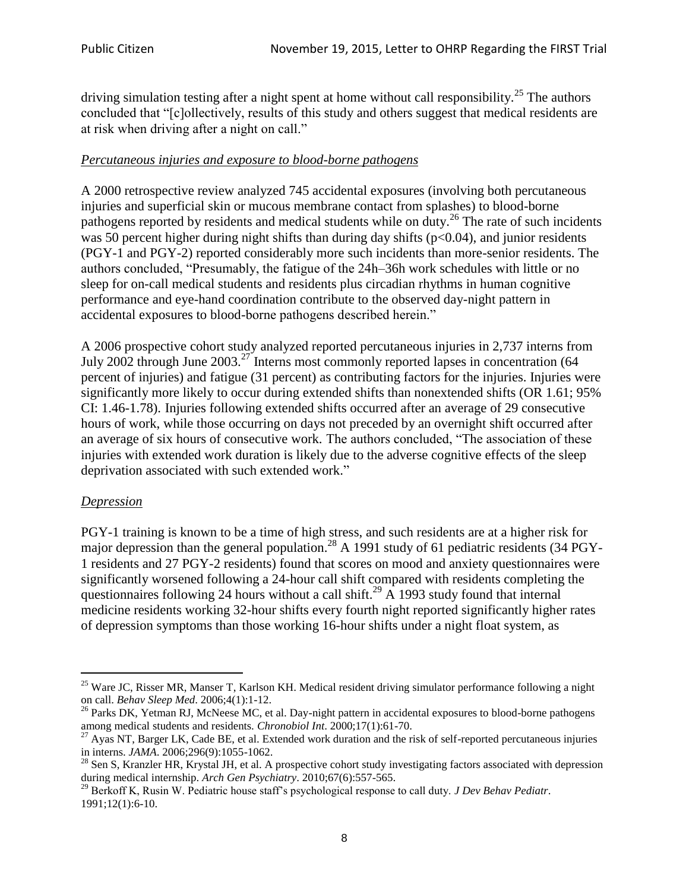driving simulation testing after a night spent at home without call responsibility.<sup>25</sup> The authors concluded that "[c]ollectively, results of this study and others suggest that medical residents are at risk when driving after a night on call."

## *Percutaneous injuries and exposure to blood-borne pathogens*

A 2000 retrospective review analyzed 745 accidental exposures (involving both percutaneous injuries and superficial skin or mucous membrane contact from splashes) to blood-borne pathogens reported by residents and medical students while on duty.<sup>26</sup> The rate of such incidents was 50 percent higher during night shifts than during day shifts ( $p<0.04$ ), and junior residents (PGY-1 and PGY-2) reported considerably more such incidents than more-senior residents. The authors concluded, "Presumably, the fatigue of the 24h–36h work schedules with little or no sleep for on-call medical students and residents plus circadian rhythms in human cognitive performance and eye-hand coordination contribute to the observed day-night pattern in accidental exposures to blood-borne pathogens described herein."

A 2006 prospective cohort study analyzed reported percutaneous injuries in 2,737 interns from July 2002 through June 2003.<sup>27</sup> Interns most commonly reported lapses in concentration (64 percent of injuries) and fatigue (31 percent) as contributing factors for the injuries. Injuries were significantly more likely to occur during extended shifts than nonextended shifts (OR 1.61; 95% CI: 1.46-1.78). Injuries following extended shifts occurred after an average of 29 consecutive hours of work, while those occurring on days not preceded by an overnight shift occurred after an average of six hours of consecutive work. The authors concluded, "The association of these injuries with extended work duration is likely due to the adverse cognitive effects of the sleep deprivation associated with such extended work."

### *Depression*

 $\overline{a}$ 

PGY-1 training is known to be a time of high stress, and such residents are at a higher risk for major depression than the general population.<sup>28</sup> A 1991 study of 61 pediatric residents (34 PGY-1 residents and 27 PGY-2 residents) found that scores on mood and anxiety questionnaires were significantly worsened following a 24-hour call shift compared with residents completing the questionnaires following 24 hours without a call shift.<sup>29</sup> A 1993 study found that internal medicine residents working 32-hour shifts every fourth night reported significantly higher rates of depression symptoms than those working 16-hour shifts under a night float system, as

<sup>&</sup>lt;sup>25</sup> Ware JC, Risser MR, Manser T, Karlson KH. Medical resident driving simulator performance following a night on call. *Behav Sleep Med*. 2006;4(1):1-12.

<sup>&</sup>lt;sup>26</sup> Parks DK, Yetman RJ, McNeese MC, et al. Day-night pattern in accidental exposures to blood-borne pathogens among medical students and residents. *Chronobiol Int*. 2000;17(1):61-70.

 $^{27}$  Ayas NT, Barger LK, Cade BE, et al. Extended work duration and the risk of self-reported percutaneous injuries in interns. *JAMA*. 2006;296(9):1055-1062.

 $^{28}$  Sen S, Kranzler HR, Krystal JH, et al. A prospective cohort study investigating factors associated with depression during medical internship. *Arch Gen Psychiatry*. 2010;67(6):557-565.

<sup>29</sup> Berkoff K, Rusin W. Pediatric house staff's psychological response to call duty. *J Dev Behav Pediatr*. 1991;12(1):6-10.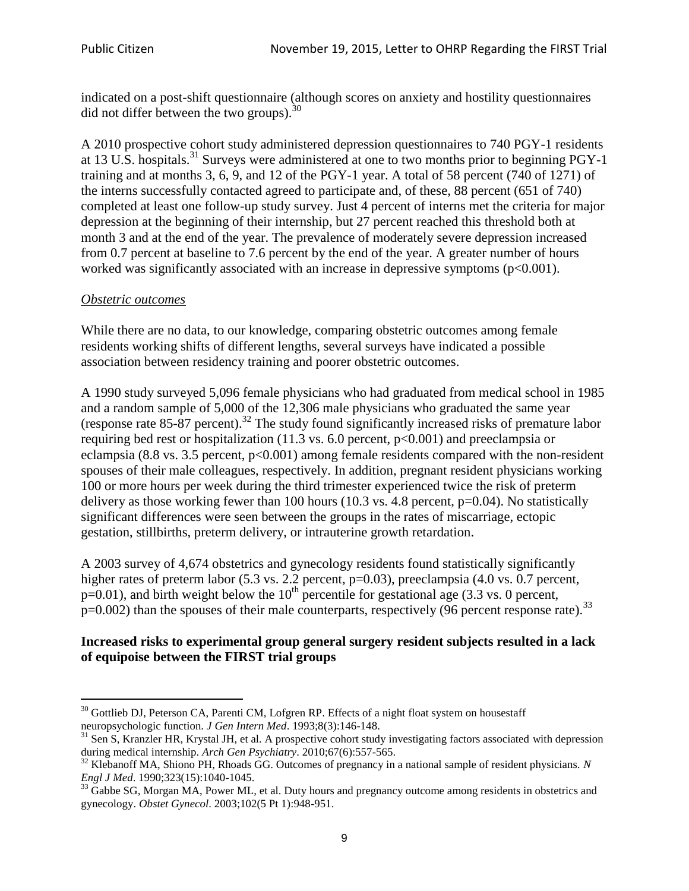indicated on a post-shift questionnaire (although scores on anxiety and hostility questionnaires did not differ between the two groups).<sup>30</sup>

A 2010 prospective cohort study administered depression questionnaires to 740 PGY-1 residents at 13 U.S. hospitals.<sup>31</sup> Surveys were administered at one to two months prior to beginning PGY-1 training and at months 3, 6, 9, and 12 of the PGY-1 year. A total of 58 percent (740 of 1271) of the interns successfully contacted agreed to participate and, of these, 88 percent (651 of 740) completed at least one follow-up study survey. Just 4 percent of interns met the criteria for major depression at the beginning of their internship, but 27 percent reached this threshold both at month 3 and at the end of the year. The prevalence of moderately severe depression increased from 0.7 percent at baseline to 7.6 percent by the end of the year. A greater number of hours worked was significantly associated with an increase in depressive symptoms ( $p<0.001$ ).

### *Obstetric outcomes*

While there are no data, to our knowledge, comparing obstetric outcomes among female residents working shifts of different lengths, several surveys have indicated a possible association between residency training and poorer obstetric outcomes.

A 1990 study surveyed 5,096 female physicians who had graduated from medical school in 1985 and a random sample of 5,000 of the 12,306 male physicians who graduated the same year (response rate  $85-87$  percent).<sup>32</sup> The study found significantly increased risks of premature labor requiring bed rest or hospitalization (11.3 vs. 6.0 percent, p<0.001) and preeclampsia or eclampsia (8.8 vs. 3.5 percent,  $p<0.001$ ) among female residents compared with the non-resident spouses of their male colleagues, respectively. In addition, pregnant resident physicians working 100 or more hours per week during the third trimester experienced twice the risk of preterm delivery as those working fewer than 100 hours (10.3 vs. 4.8 percent,  $p=0.04$ ). No statistically significant differences were seen between the groups in the rates of miscarriage, ectopic gestation, stillbirths, preterm delivery, or intrauterine growth retardation.

A 2003 survey of 4,674 obstetrics and gynecology residents found statistically significantly higher rates of preterm labor (5.3 vs. 2.2 percent, p=0.03), preeclampsia (4.0 vs. 0.7 percent,  $p=0.01$ ), and birth weight below the 10<sup>th</sup> percentile for gestational age (3.3 vs. 0 percent,  $p=0.002$ ) than the spouses of their male counterparts, respectively (96 percent response rate).<sup>33</sup>

### **Increased risks to experimental group general surgery resident subjects resulted in a lack of equipoise between the FIRST trial groups**

 $\ddot{\phantom{a}}$  $30$  Gottlieb DJ, Peterson CA, Parenti CM, Lofgren RP. Effects of a night float system on housestaff neuropsychologic function. *J Gen Intern Med*. 1993;8(3):146-148.

<sup>&</sup>lt;sup>31</sup> Sen S, Kranzler HR, Krystal JH, et al. A prospective cohort study investigating factors associated with depression during medical internship. *Arch Gen Psychiatry*. 2010;67(6):557-565.

<sup>32</sup> Klebanoff MA, Shiono PH, Rhoads GG. Outcomes of pregnancy in a national sample of resident physicians. *N Engl J Med*. 1990;323(15):1040-1045.

 $33\text{ G}$ abbe SG, Morgan MA, Power ML, et al. Duty hours and pregnancy outcome among residents in obstetrics and gynecology. *Obstet Gynecol*. 2003;102(5 Pt 1):948-951.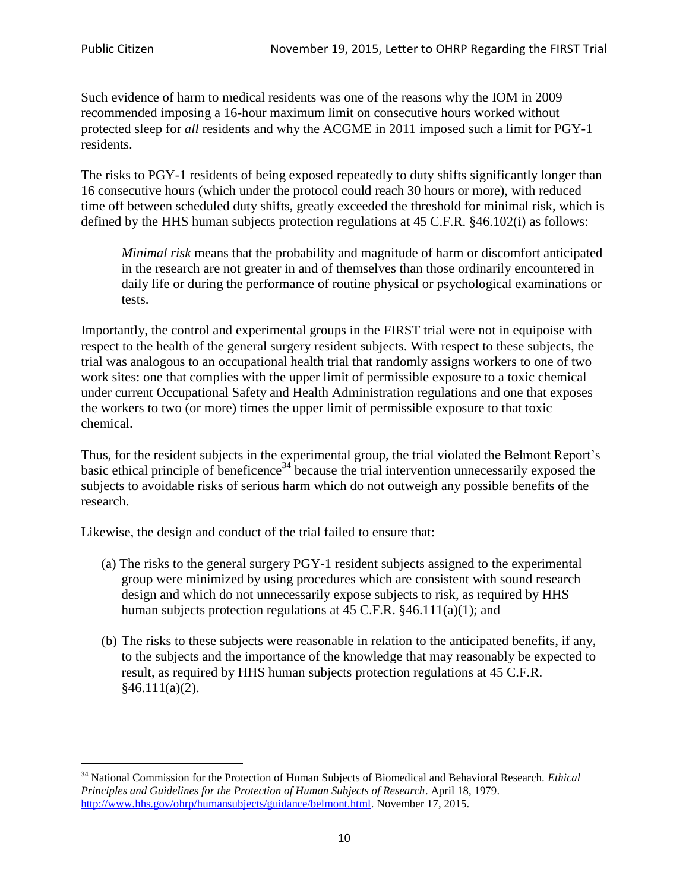Such evidence of harm to medical residents was one of the reasons why the IOM in 2009 recommended imposing a 16-hour maximum limit on consecutive hours worked without protected sleep for *all* residents and why the ACGME in 2011 imposed such a limit for PGY-1 residents.

The risks to PGY-1 residents of being exposed repeatedly to duty shifts significantly longer than 16 consecutive hours (which under the protocol could reach 30 hours or more), with reduced time off between scheduled duty shifts, greatly exceeded the threshold for minimal risk, which is defined by the HHS human subjects protection regulations at 45 C.F.R. §46.102(i) as follows:

*Minimal risk* means that the probability and magnitude of harm or discomfort anticipated in the research are not greater in and of themselves than those ordinarily encountered in daily life or during the performance of routine physical or psychological examinations or tests.

Importantly, the control and experimental groups in the FIRST trial were not in equipoise with respect to the health of the general surgery resident subjects. With respect to these subjects, the trial was analogous to an occupational health trial that randomly assigns workers to one of two work sites: one that complies with the upper limit of permissible exposure to a toxic chemical under current Occupational Safety and Health Administration regulations and one that exposes the workers to two (or more) times the upper limit of permissible exposure to that toxic chemical.

Thus, for the resident subjects in the experimental group, the trial violated the Belmont Report's basic ethical principle of beneficence<sup>34</sup> because the trial intervention unnecessarily exposed the subjects to avoidable risks of serious harm which do not outweigh any possible benefits of the research.

Likewise, the design and conduct of the trial failed to ensure that:

- (a) The risks to the general surgery PGY-1 resident subjects assigned to the experimental group were minimized by using procedures which are consistent with sound research design and which do not unnecessarily expose subjects to risk, as required by HHS human subjects protection regulations at 45 C.F.R.  $§46.111(a)(1)$ ; and
- (b) The risks to these subjects were reasonable in relation to the anticipated benefits, if any, to the subjects and the importance of the knowledge that may reasonably be expected to result, as required by HHS human subjects protection regulations at 45 C.F.R.  $§46.111(a)(2).$

 $\overline{a}$ <sup>34</sup> National Commission for the Protection of Human Subjects of Biomedical and Behavioral Research. *Ethical Principles and Guidelines for the Protection of Human Subjects of Research*. April 18, 1979. [http://www.hhs.gov/ohrp/humansubjects/guidance/belmont.html.](http://www.hhs.gov/ohrp/humansubjects/guidance/belmont.html) November 17, 2015.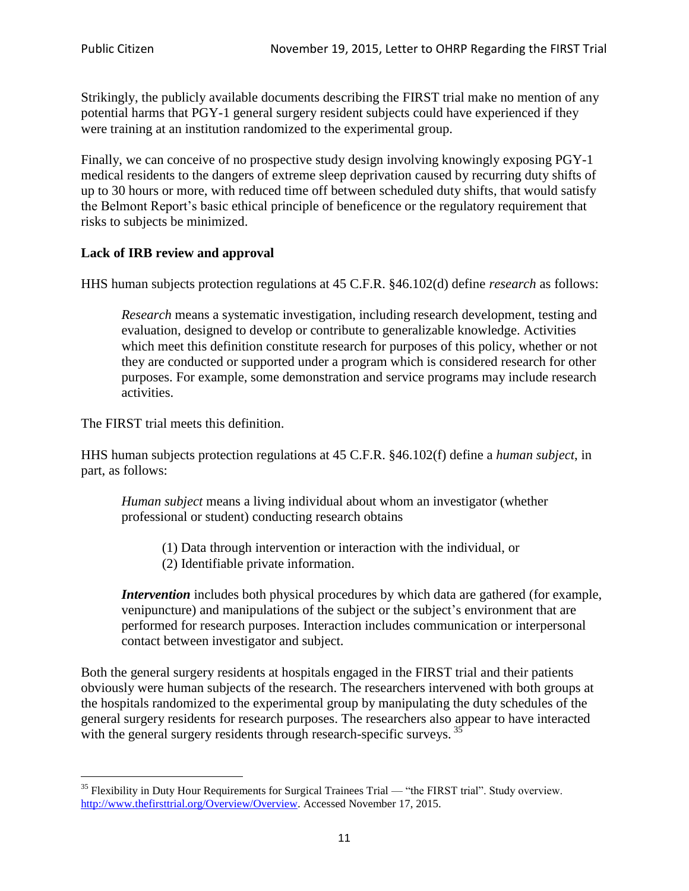Strikingly, the publicly available documents describing the FIRST trial make no mention of any potential harms that PGY-1 general surgery resident subjects could have experienced if they were training at an institution randomized to the experimental group.

Finally, we can conceive of no prospective study design involving knowingly exposing PGY-1 medical residents to the dangers of extreme sleep deprivation caused by recurring duty shifts of up to 30 hours or more, with reduced time off between scheduled duty shifts, that would satisfy the Belmont Report's basic ethical principle of beneficence or the regulatory requirement that risks to subjects be minimized.

# **Lack of IRB review and approval**

HHS human subjects protection regulations at 45 C.F.R. §46.102(d) define *research* as follows:

*Research* means a systematic investigation, including research development, testing and evaluation, designed to develop or contribute to generalizable knowledge. Activities which meet this definition constitute research for purposes of this policy, whether or not they are conducted or supported under a program which is considered research for other purposes. For example, some demonstration and service programs may include research activities.

The FIRST trial meets this definition.

HHS human subjects protection regulations at 45 C.F.R. §46.102(f) define a *human subject*, in part, as follows:

*Human subject* means a living individual about whom an investigator (whether professional or student) conducting research obtains

- (1) Data through intervention or interaction with the individual, or
- (2) Identifiable private information.

*Intervention* includes both physical procedures by which data are gathered (for example, venipuncture) and manipulations of the subject or the subject's environment that are performed for research purposes. Interaction includes communication or interpersonal contact between investigator and subject.

Both the general surgery residents at hospitals engaged in the FIRST trial and their patients obviously were human subjects of the research. The researchers intervened with both groups at the hospitals randomized to the experimental group by manipulating the duty schedules of the general surgery residents for research purposes. The researchers also appear to have interacted with the general surgery residents through research-specific surveys.<sup>35</sup>

 $\ddot{\phantom{a}}$  $35$  Flexibility in Duty Hour Requirements for Surgical Trainees Trial — "the FIRST trial". Study overview. [http://www.thefirsttrial.org/Overview/Overview.](http://www.thefirsttrial.org/Overview/Overview) Accessed November 17, 2015.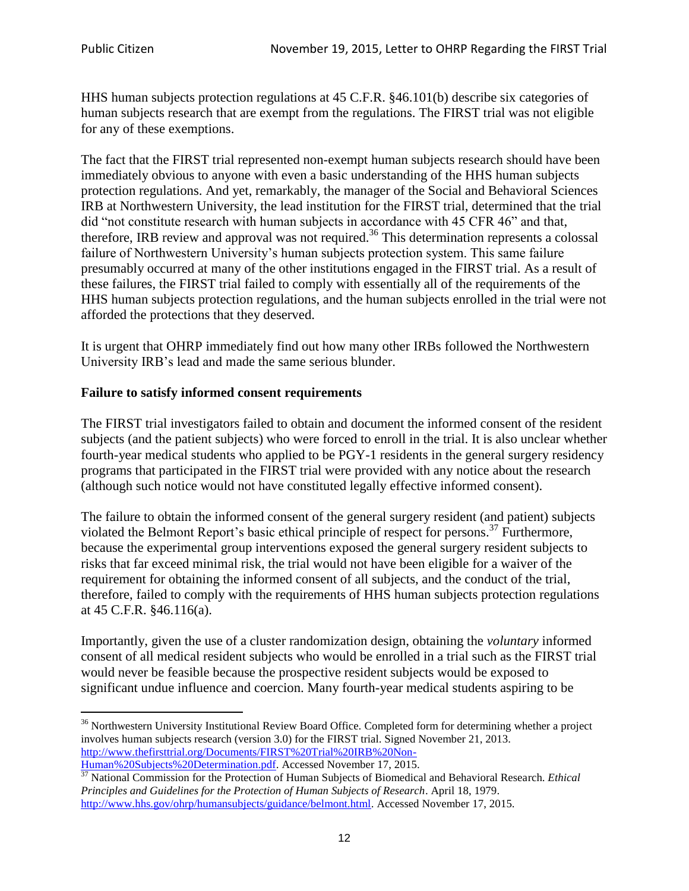HHS human subjects protection regulations at 45 C.F.R. §46.101(b) describe six categories of human subjects research that are exempt from the regulations. The FIRST trial was not eligible for any of these exemptions.

The fact that the FIRST trial represented non-exempt human subjects research should have been immediately obvious to anyone with even a basic understanding of the HHS human subjects protection regulations. And yet, remarkably, the manager of the Social and Behavioral Sciences IRB at Northwestern University, the lead institution for the FIRST trial, determined that the trial did "not constitute research with human subjects in accordance with 45 CFR 46" and that, therefore, IRB review and approval was not required.<sup>36</sup> This determination represents a colossal failure of Northwestern University's human subjects protection system. This same failure presumably occurred at many of the other institutions engaged in the FIRST trial. As a result of these failures, the FIRST trial failed to comply with essentially all of the requirements of the HHS human subjects protection regulations, and the human subjects enrolled in the trial were not afforded the protections that they deserved.

It is urgent that OHRP immediately find out how many other IRBs followed the Northwestern University IRB's lead and made the same serious blunder.

# **Failure to satisfy informed consent requirements**

The FIRST trial investigators failed to obtain and document the informed consent of the resident subjects (and the patient subjects) who were forced to enroll in the trial. It is also unclear whether fourth-year medical students who applied to be PGY-1 residents in the general surgery residency programs that participated in the FIRST trial were provided with any notice about the research (although such notice would not have constituted legally effective informed consent).

The failure to obtain the informed consent of the general surgery resident (and patient) subjects violated the Belmont Report's basic ethical principle of respect for persons.<sup>37</sup> Furthermore, because the experimental group interventions exposed the general surgery resident subjects to risks that far exceed minimal risk, the trial would not have been eligible for a waiver of the requirement for obtaining the informed consent of all subjects, and the conduct of the trial, therefore, failed to comply with the requirements of HHS human subjects protection regulations at 45 C.F.R. §46.116(a).

Importantly, given the use of a cluster randomization design, obtaining the *voluntary* informed consent of all medical resident subjects who would be enrolled in a trial such as the FIRST trial would never be feasible because the prospective resident subjects would be exposed to significant undue influence and coercion. Many fourth-year medical students aspiring to be

 $\overline{a}$ <sup>36</sup> Northwestern University Institutional Review Board Office. Completed form for determining whether a project involves human subjects research (version 3.0) for the FIRST trial. Signed November 21, 2013. [http://www.thefirsttrial.org/Documents/FIRST%20Trial%20IRB%20Non-](http://www.thefirsttrial.org/Documents/FIRST%20Trial%20IRB%20Non-Human%20Subjects%20Determination.pdf)

[Human%20Subjects%20Determination.pdf.](http://www.thefirsttrial.org/Documents/FIRST%20Trial%20IRB%20Non-Human%20Subjects%20Determination.pdf) Accessed November 17, 2015.

<sup>37</sup> National Commission for the Protection of Human Subjects of Biomedical and Behavioral Research. *Ethical Principles and Guidelines for the Protection of Human Subjects of Research*. April 18, 1979. [http://www.hhs.gov/ohrp/humansubjects/guidance/belmont.html.](http://www.hhs.gov/ohrp/humansubjects/guidance/belmont.html) Accessed November 17, 2015.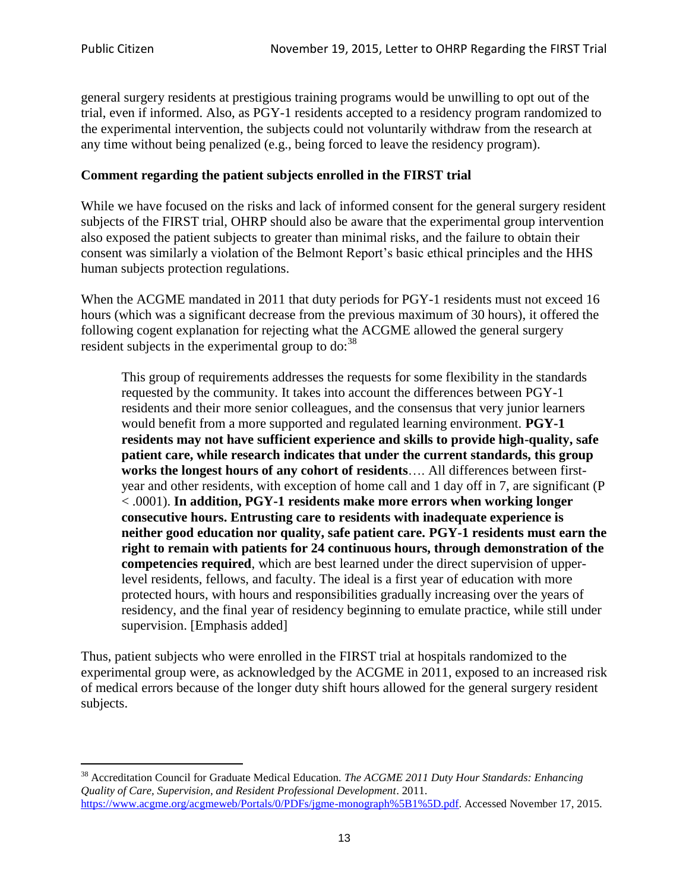$\overline{a}$ 

general surgery residents at prestigious training programs would be unwilling to opt out of the trial, even if informed. Also, as PGY-1 residents accepted to a residency program randomized to the experimental intervention, the subjects could not voluntarily withdraw from the research at any time without being penalized (e.g., being forced to leave the residency program).

#### **Comment regarding the patient subjects enrolled in the FIRST trial**

While we have focused on the risks and lack of informed consent for the general surgery resident subjects of the FIRST trial, OHRP should also be aware that the experimental group intervention also exposed the patient subjects to greater than minimal risks, and the failure to obtain their consent was similarly a violation of the Belmont Report's basic ethical principles and the HHS human subjects protection regulations.

When the ACGME mandated in 2011 that duty periods for PGY-1 residents must not exceed 16 hours (which was a significant decrease from the previous maximum of 30 hours), it offered the following cogent explanation for rejecting what the ACGME allowed the general surgery resident subjects in the experimental group to do:<sup>38</sup>

This group of requirements addresses the requests for some flexibility in the standards requested by the community. It takes into account the differences between PGY-1 residents and their more senior colleagues, and the consensus that very junior learners would benefit from a more supported and regulated learning environment. **PGY-1 residents may not have sufficient experience and skills to provide high-quality, safe patient care, while research indicates that under the current standards, this group works the longest hours of any cohort of residents**…. All differences between firstyear and other residents, with exception of home call and 1 day off in 7, are significant (P < .0001). **In addition, PGY-1 residents make more errors when working longer consecutive hours. Entrusting care to residents with inadequate experience is neither good education nor quality, safe patient care. PGY-1 residents must earn the right to remain with patients for 24 continuous hours, through demonstration of the competencies required**, which are best learned under the direct supervision of upperlevel residents, fellows, and faculty. The ideal is a first year of education with more protected hours, with hours and responsibilities gradually increasing over the years of residency, and the final year of residency beginning to emulate practice, while still under supervision. [Emphasis added]

Thus, patient subjects who were enrolled in the FIRST trial at hospitals randomized to the experimental group were, as acknowledged by the ACGME in 2011, exposed to an increased risk of medical errors because of the longer duty shift hours allowed for the general surgery resident subjects.

<sup>38</sup> Accreditation Council for Graduate Medical Education. *The ACGME 2011 Duty Hour Standards: Enhancing Quality of Care, Supervision, and Resident Professional Development*. 2011. [https://www.acgme.org/acgmeweb/Portals/0/PDFs/jgme-monograph%5B1%5D.pdf.](https://www.acgme.org/acgmeweb/Portals/0/PDFs/jgme-monograph%5B1%5D.pdf) Accessed November 17, 2015.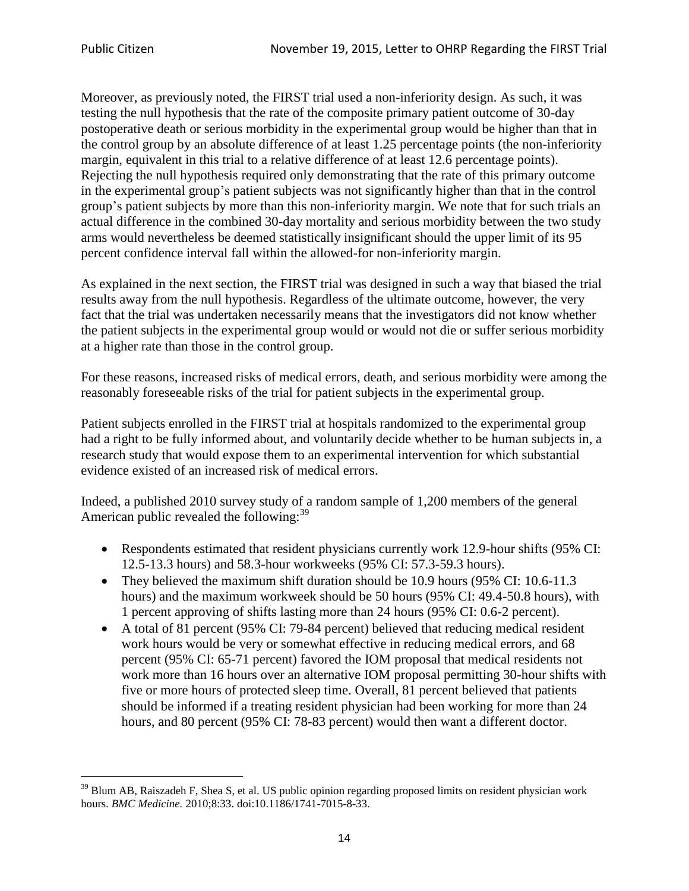Moreover, as previously noted, the FIRST trial used a non-inferiority design. As such, it was testing the null hypothesis that the rate of the composite primary patient outcome of 30-day postoperative death or serious morbidity in the experimental group would be higher than that in the control group by an absolute difference of at least 1.25 percentage points (the non-inferiority margin, equivalent in this trial to a relative difference of at least 12.6 percentage points). Rejecting the null hypothesis required only demonstrating that the rate of this primary outcome in the experimental group's patient subjects was not significantly higher than that in the control group's patient subjects by more than this non-inferiority margin. We note that for such trials an actual difference in the combined 30-day mortality and serious morbidity between the two study arms would nevertheless be deemed statistically insignificant should the upper limit of its 95 percent confidence interval fall within the allowed-for non-inferiority margin.

As explained in the next section, the FIRST trial was designed in such a way that biased the trial results away from the null hypothesis. Regardless of the ultimate outcome, however, the very fact that the trial was undertaken necessarily means that the investigators did not know whether the patient subjects in the experimental group would or would not die or suffer serious morbidity at a higher rate than those in the control group.

For these reasons, increased risks of medical errors, death, and serious morbidity were among the reasonably foreseeable risks of the trial for patient subjects in the experimental group.

Patient subjects enrolled in the FIRST trial at hospitals randomized to the experimental group had a right to be fully informed about, and voluntarily decide whether to be human subjects in, a research study that would expose them to an experimental intervention for which substantial evidence existed of an increased risk of medical errors.

Indeed, a published 2010 survey study of a random sample of 1,200 members of the general American public revealed the following:<sup>39</sup>

- Respondents estimated that resident physicians currently work 12.9-hour shifts (95% CI: 12.5-13.3 hours) and 58.3-hour workweeks (95% CI: 57.3-59.3 hours).
- They believed the maximum shift duration should be 10.9 hours (95% CI: 10.6-11.3) hours) and the maximum workweek should be 50 hours (95% CI: 49.4-50.8 hours), with 1 percent approving of shifts lasting more than 24 hours (95% CI: 0.6-2 percent).
- A total of 81 percent (95% CI: 79-84 percent) believed that reducing medical resident work hours would be very or somewhat effective in reducing medical errors, and 68 percent (95% CI: 65-71 percent) favored the IOM proposal that medical residents not work more than 16 hours over an alternative IOM proposal permitting 30-hour shifts with five or more hours of protected sleep time. Overall, 81 percent believed that patients should be informed if a treating resident physician had been working for more than 24 hours, and 80 percent (95% CI: 78-83 percent) would then want a different doctor.

 $\ddot{\phantom{a}}$  $39$  Blum AB, Raiszadeh F, Shea S, et al. US public opinion regarding proposed limits on resident physician work hours. *BMC Medicine.* 2010;8:33. doi:10.1186/1741-7015-8-33.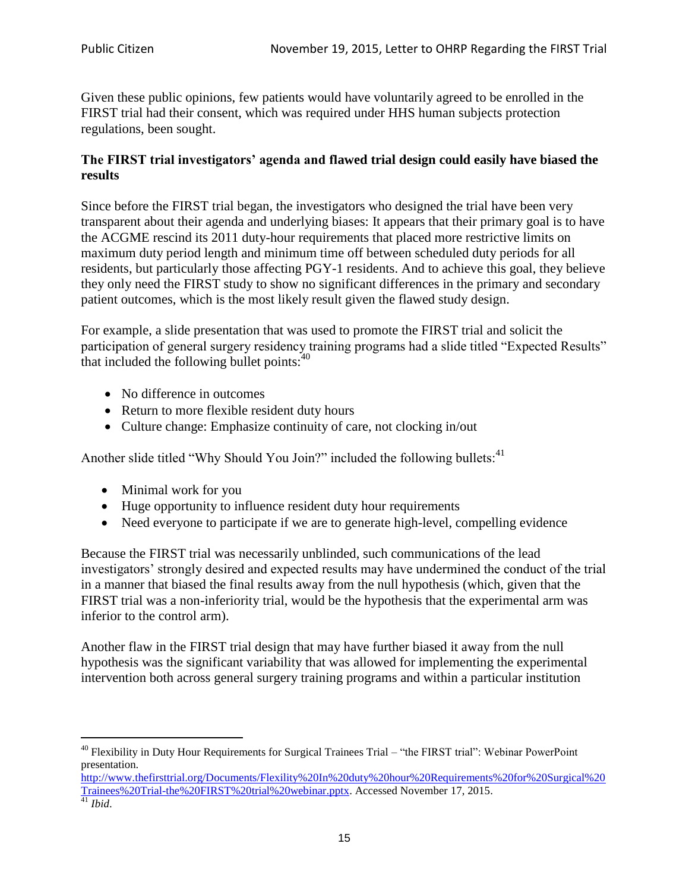Given these public opinions, few patients would have voluntarily agreed to be enrolled in the FIRST trial had their consent, which was required under HHS human subjects protection regulations, been sought.

### **The FIRST trial investigators' agenda and flawed trial design could easily have biased the results**

Since before the FIRST trial began, the investigators who designed the trial have been very transparent about their agenda and underlying biases: It appears that their primary goal is to have the ACGME rescind its 2011 duty-hour requirements that placed more restrictive limits on maximum duty period length and minimum time off between scheduled duty periods for all residents, but particularly those affecting PGY-1 residents. And to achieve this goal, they believe they only need the FIRST study to show no significant differences in the primary and secondary patient outcomes, which is the most likely result given the flawed study design.

For example, a slide presentation that was used to promote the FIRST trial and solicit the participation of general surgery residency training programs had a slide titled "Expected Results" that included the following bullet points: $40$ 

- No difference in outcomes
- Return to more flexible resident duty hours
- Culture change: Emphasize continuity of care, not clocking in/out

Another slide titled "Why Should You Join?" included the following bullets:<sup>41</sup>

- Minimal work for you
- Huge opportunity to influence resident duty hour requirements
- Need everyone to participate if we are to generate high-level, compelling evidence

Because the FIRST trial was necessarily unblinded, such communications of the lead investigators' strongly desired and expected results may have undermined the conduct of the trial in a manner that biased the final results away from the null hypothesis (which, given that the FIRST trial was a non-inferiority trial, would be the hypothesis that the experimental arm was inferior to the control arm).

Another flaw in the FIRST trial design that may have further biased it away from the null hypothesis was the significant variability that was allowed for implementing the experimental intervention both across general surgery training programs and within a particular institution

 $\ddot{\phantom{a}}$ <sup>40</sup> Flexibility in Duty Hour Requirements for Surgical Trainees Trial – "the FIRST trial": Webinar PowerPoint presentation.

[http://www.thefirsttrial.org/Documents/Flexility%20In%20duty%20hour%20Requirements%20for%20Surgical%20](http://www.thefirsttrial.org/Documents/Flexility%20In%20duty%20hour%20Requirements%20for%20Surgical%20Trainees%20Trial-the%20FIRST%20trial%20webinar.pptx) [Trainees%20Trial-the%20FIRST%20trial%20webinar.pptx.](http://www.thefirsttrial.org/Documents/Flexility%20In%20duty%20hour%20Requirements%20for%20Surgical%20Trainees%20Trial-the%20FIRST%20trial%20webinar.pptx) Accessed November 17, 2015.  $\frac{41}{41}$  *Ibid.*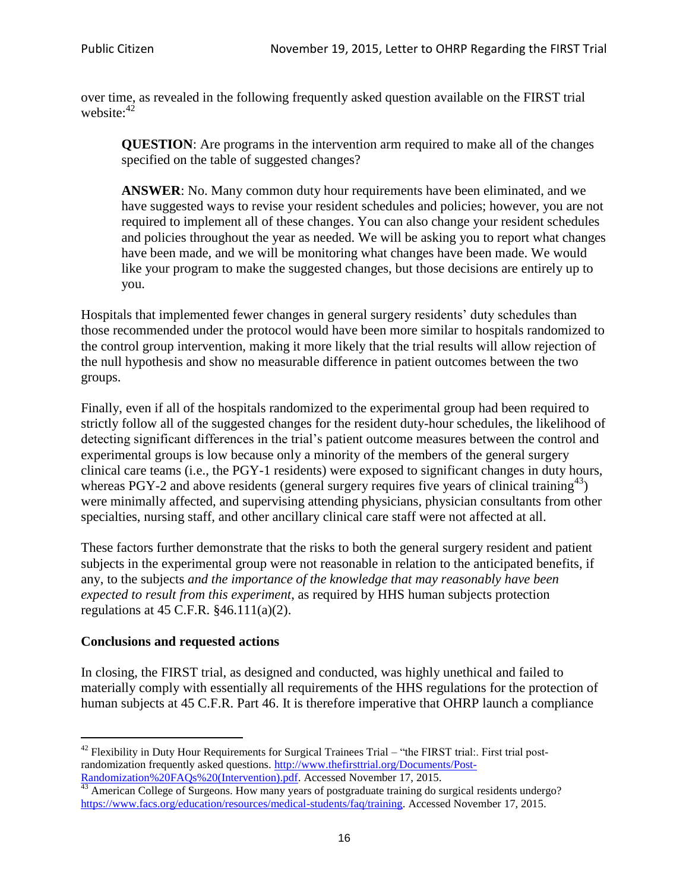over time, as revealed in the following frequently asked question available on the FIRST trial website: $42$ 

**QUESTION**: Are programs in the intervention arm required to make all of the changes specified on the table of suggested changes?

**ANSWER**: No. Many common duty hour requirements have been eliminated, and we have suggested ways to revise your resident schedules and policies; however, you are not required to implement all of these changes. You can also change your resident schedules and policies throughout the year as needed. We will be asking you to report what changes have been made, and we will be monitoring what changes have been made. We would like your program to make the suggested changes, but those decisions are entirely up to you.

Hospitals that implemented fewer changes in general surgery residents' duty schedules than those recommended under the protocol would have been more similar to hospitals randomized to the control group intervention, making it more likely that the trial results will allow rejection of the null hypothesis and show no measurable difference in patient outcomes between the two groups.

Finally, even if all of the hospitals randomized to the experimental group had been required to strictly follow all of the suggested changes for the resident duty-hour schedules, the likelihood of detecting significant differences in the trial's patient outcome measures between the control and experimental groups is low because only a minority of the members of the general surgery clinical care teams (i.e., the PGY-1 residents) were exposed to significant changes in duty hours, whereas PGY-2 and above residents (general surgery requires five years of clinical training<sup>43</sup>) were minimally affected, and supervising attending physicians, physician consultants from other specialties, nursing staff, and other ancillary clinical care staff were not affected at all.

These factors further demonstrate that the risks to both the general surgery resident and patient subjects in the experimental group were not reasonable in relation to the anticipated benefits, if any, to the subjects *and the importance of the knowledge that may reasonably have been expected to result from this experiment*, as required by HHS human subjects protection regulations at 45 C.F.R. §46.111(a)(2).

### **Conclusions and requested actions**

In closing, the FIRST trial, as designed and conducted, was highly unethical and failed to materially comply with essentially all requirements of the HHS regulations for the protection of human subjects at 45 C.F.R. Part 46. It is therefore imperative that OHRP launch a compliance

 $\ddot{\phantom{a}}$  $42$  Flexibility in Duty Hour Requirements for Surgical Trainees Trial – "the FIRST trial:. First trial postrandomization frequently asked questions. [http://www.thefirsttrial.org/Documents/Post-](http://www.thefirsttrial.org/Documents/Post-Randomization%20FAQs%20(Intervention).pdf)[Randomization%20FAQs%20\(Intervention\).pdf.](http://www.thefirsttrial.org/Documents/Post-Randomization%20FAQs%20(Intervention).pdf) Accessed November 17, 2015.

 $43$  American College of Surgeons. How many years of postgraduate training do surgical residents undergo? [https://www.facs.org/education/resources/medical-students/faq/training.](https://www.facs.org/education/resources/medical-students/faq/training) Accessed November 17, 2015.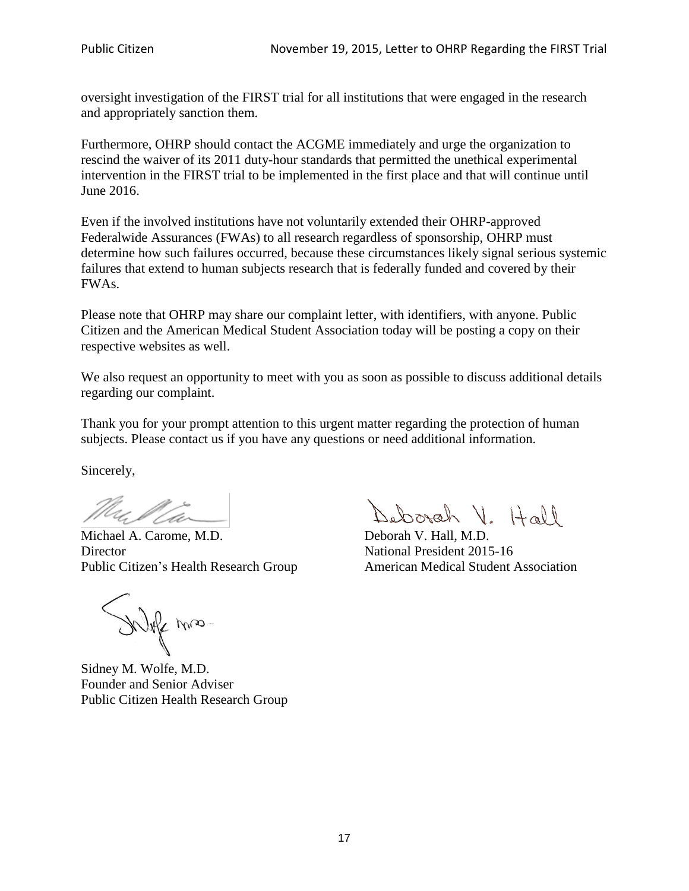oversight investigation of the FIRST trial for all institutions that were engaged in the research and appropriately sanction them.

Furthermore, OHRP should contact the ACGME immediately and urge the organization to rescind the waiver of its 2011 duty-hour standards that permitted the unethical experimental intervention in the FIRST trial to be implemented in the first place and that will continue until June 2016.

Even if the involved institutions have not voluntarily extended their OHRP-approved Federalwide Assurances (FWAs) to all research regardless of sponsorship, OHRP must determine how such failures occurred, because these circumstances likely signal serious systemic failures that extend to human subjects research that is federally funded and covered by their FWAs.

Please note that OHRP may share our complaint letter, with identifiers, with anyone. Public Citizen and the American Medical Student Association today will be posting a copy on their respective websites as well.

We also request an opportunity to meet with you as soon as possible to discuss additional details regarding our complaint.

Thank you for your prompt attention to this urgent matter regarding the protection of human subjects. Please contact us if you have any questions or need additional information.

Sincerely,

4. V Ca

Michael A. Carome, M.D. Deborah V. Hall, M.D. Director National President 2015-16 Public Citizen's Health Research Group American Medical Student Association

White mas-

Sidney M. Wolfe, M.D. Founder and Senior Adviser Public Citizen Health Research Group

Deborah V. Hall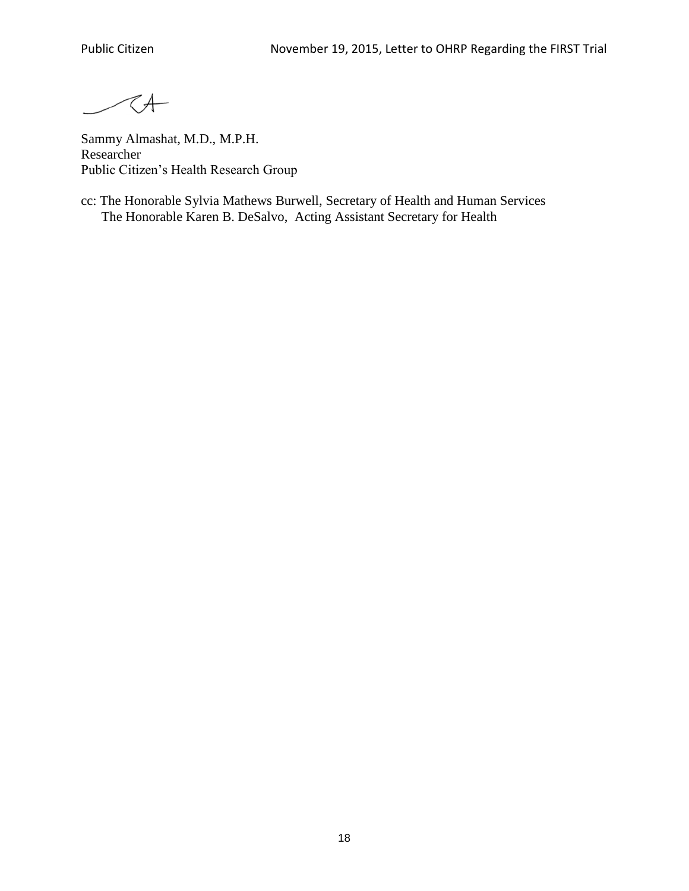TA-

Sammy Almashat, M.D., M.P.H. Researcher Public Citizen's Health Research Group

cc: The Honorable Sylvia Mathews Burwell, Secretary of Health and Human Services The Honorable Karen B. DeSalvo, Acting Assistant Secretary for Health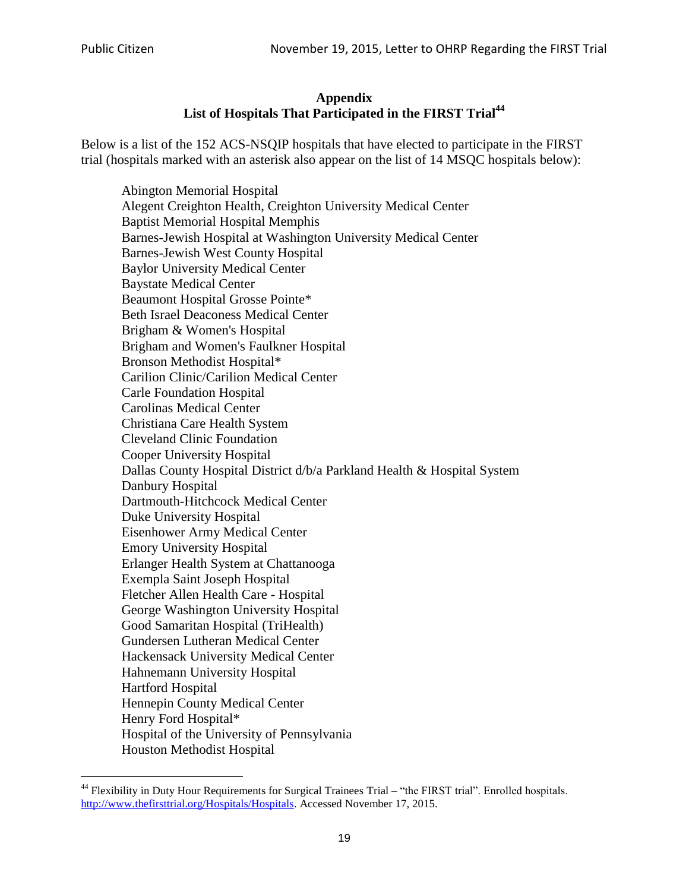# **Appendix List of Hospitals That Participated in the FIRST Trial<sup>44</sup>**

Below is a list of the 152 ACS-NSQIP hospitals that have elected to participate in the FIRST trial (hospitals marked with an asterisk also appear on the list of 14 MSQC hospitals below):

Abington Memorial Hospital Alegent Creighton Health, Creighton University Medical Center Baptist Memorial Hospital Memphis Barnes-Jewish Hospital at Washington University Medical Center Barnes-Jewish West County Hospital Baylor University Medical Center Baystate Medical Center Beaumont Hospital Grosse Pointe\* Beth Israel Deaconess Medical Center Brigham & Women's Hospital Brigham and Women's Faulkner Hospital Bronson Methodist Hospital\* Carilion Clinic/Carilion Medical Center Carle Foundation Hospital Carolinas Medical Center Christiana Care Health System Cleveland Clinic Foundation Cooper University Hospital Dallas County Hospital District d/b/a Parkland Health & Hospital System Danbury Hospital Dartmouth-Hitchcock Medical Center Duke University Hospital Eisenhower Army Medical Center Emory University Hospital Erlanger Health System at Chattanooga Exempla Saint Joseph Hospital Fletcher Allen Health Care - Hospital George Washington University Hospital Good Samaritan Hospital (TriHealth) Gundersen Lutheran Medical Center Hackensack University Medical Center Hahnemann University Hospital Hartford Hospital Hennepin County Medical Center Henry Ford Hospital\* Hospital of the University of Pennsylvania Houston Methodist Hospital

 $\ddot{\phantom{a}}$ <sup>44</sup> Flexibility in Duty Hour Requirements for Surgical Trainees Trial – "the FIRST trial". Enrolled hospitals. [http://www.thefirsttrial.org/Hospitals/Hospitals.](http://www.thefirsttrial.org/Hospitals/Hospitals) Accessed November 17, 2015.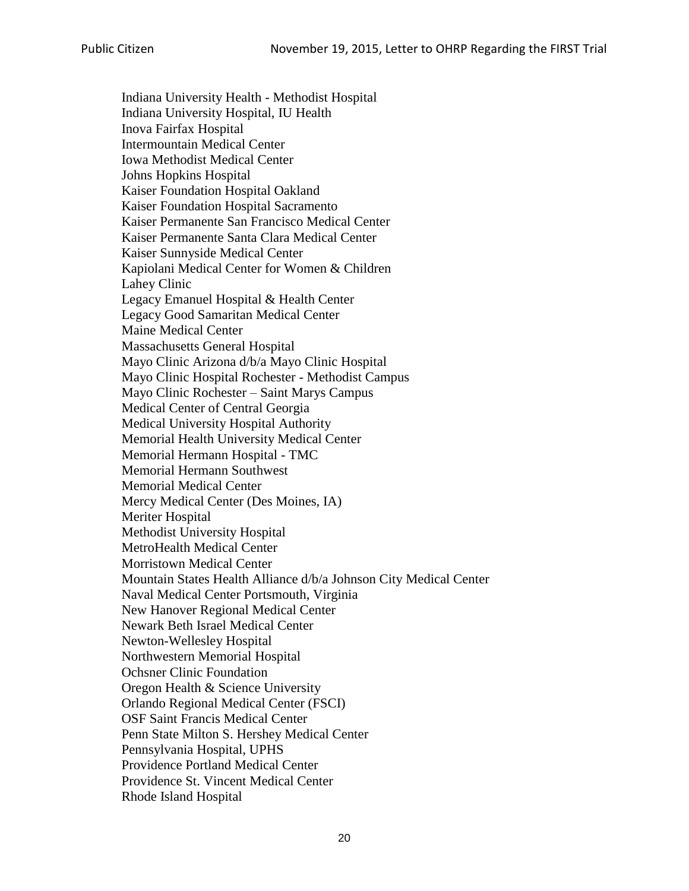Indiana University Health - Methodist Hospital Indiana University Hospital, IU Health Inova Fairfax Hospital Intermountain Medical Center Iowa Methodist Medical Center Johns Hopkins Hospital Kaiser Foundation Hospital Oakland Kaiser Foundation Hospital Sacramento Kaiser Permanente San Francisco Medical Center Kaiser Permanente Santa Clara Medical Center Kaiser Sunnyside Medical Center Kapiolani Medical Center for Women & Children Lahey Clinic Legacy Emanuel Hospital & Health Center Legacy Good Samaritan Medical Center Maine Medical Center Massachusetts General Hospital Mayo Clinic Arizona d/b/a Mayo Clinic Hospital Mayo Clinic Hospital Rochester - Methodist Campus Mayo Clinic Rochester – Saint Marys Campus Medical Center of Central Georgia Medical University Hospital Authority Memorial Health University Medical Center Memorial Hermann Hospital - TMC Memorial Hermann Southwest Memorial Medical Center Mercy Medical Center (Des Moines, IA) Meriter Hospital Methodist University Hospital MetroHealth Medical Center Morristown Medical Center Mountain States Health Alliance d/b/a Johnson City Medical Center Naval Medical Center Portsmouth, Virginia New Hanover Regional Medical Center Newark Beth Israel Medical Center Newton-Wellesley Hospital Northwestern Memorial Hospital Ochsner Clinic Foundation Oregon Health & Science University Orlando Regional Medical Center (FSCI) OSF Saint Francis Medical Center Penn State Milton S. Hershey Medical Center Pennsylvania Hospital, UPHS Providence Portland Medical Center Providence St. Vincent Medical Center Rhode Island Hospital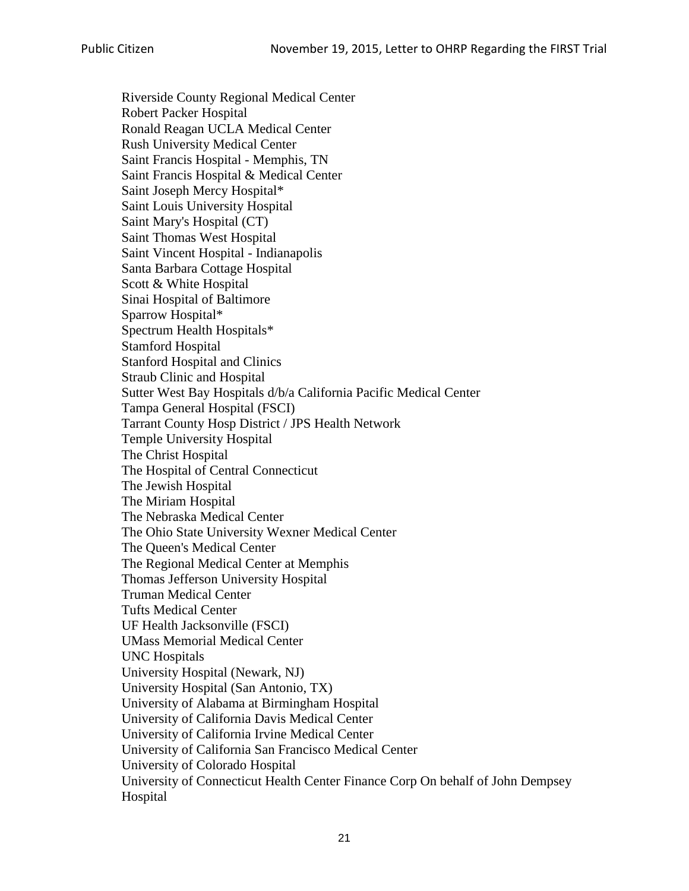Riverside County Regional Medical Center Robert Packer Hospital Ronald Reagan UCLA Medical Center Rush University Medical Center Saint Francis Hospital - Memphis, TN Saint Francis Hospital & Medical Center Saint Joseph Mercy Hospital\* Saint Louis University Hospital Saint Mary's Hospital (CT) Saint Thomas West Hospital Saint Vincent Hospital - Indianapolis Santa Barbara Cottage Hospital Scott & White Hospital Sinai Hospital of Baltimore Sparrow Hospital\* Spectrum Health Hospitals\* Stamford Hospital Stanford Hospital and Clinics Straub Clinic and Hospital Sutter West Bay Hospitals d/b/a California Pacific Medical Center Tampa General Hospital (FSCI) Tarrant County Hosp District / JPS Health Network Temple University Hospital The Christ Hospital The Hospital of Central Connecticut The Jewish Hospital The Miriam Hospital The Nebraska Medical Center The Ohio State University Wexner Medical Center The Queen's Medical Center The Regional Medical Center at Memphis Thomas Jefferson University Hospital Truman Medical Center Tufts Medical Center UF Health Jacksonville (FSCI) UMass Memorial Medical Center UNC Hospitals University Hospital (Newark, NJ) University Hospital (San Antonio, TX) University of Alabama at Birmingham Hospital University of California Davis Medical Center University of California Irvine Medical Center University of California San Francisco Medical Center University of Colorado Hospital University of Connecticut Health Center Finance Corp On behalf of John Dempsey Hospital